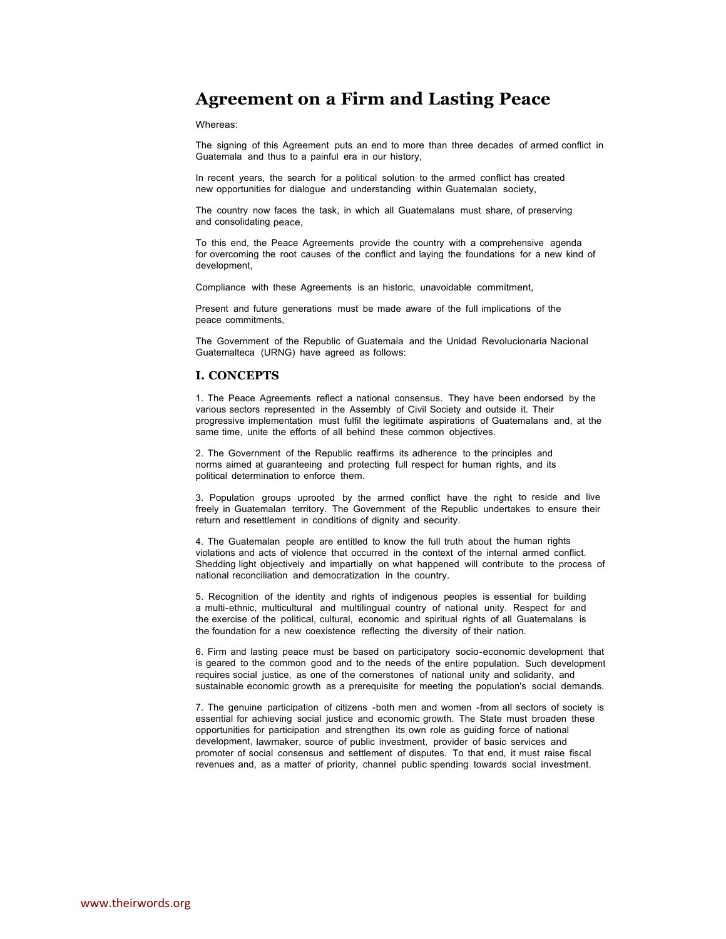# **Agreement on a Firm and Lasting Peace**

#### Whereas:

The signing of this Agreement puts an end to more than three decades of armed conflict in Guatemala and thus to a painful era in our history,

In recent years, the search for a political solution to the armed conflict has created new opportunities for dialogue and understanding within Guatemalan society,

The country now faces the task, in which all Guatemalans must share, of preserving and consolidating peace,

To this end, the Peace Agreements provide the country with a comprehensive agenda for overcoming the root causes of the conflict and laying the foundations for a new kind of development,

Compliance with these Agreements is an historic, unavoidable commitment,

Present and future generations must be made aware of the full implications of the peace commitments,

The Government of the Republic of Guatemala and the Unidad Revolucionaria Nacional Guatemalteca (URNG) have agreed as follows:

# **I. CONCEPTS**

1. The Peace Agreements reflect a national consensus. They have been endorsed by the various sectors represented in the Assembly of Civil Society and outside it. Their progressive implementation must fulfil the legitimate aspirations of Guatemalans and, at the same time, unite the efforts of all behind these common objectives.

2. The Government of the Republic reaffirms its adherence to the principles and norms aimed at guaranteeing and protecting full respect for human rights, and its political determination to enforce them.

3. Population groups uprooted by the armed conflict have the right to reside and live freely in Guatemalan territory. The Government of the Republic undertakes to ensure their return and resettlement in conditions of dignity and security.

4. The Guatemalan people are entitled to know the full truth about the human rights violations and acts of violence that occurred in the context of the internal armed conflict. Shedding light objectively and impartially on what happened will contribute to the process of national reconciliation and democratization in the country.

5. Recognition of the identity and rights of indigenous peoples is essential for building a multi-ethnic, multicultural and multilingual country of national unity. Respect for and the exercise of the political, cultural, economic and spiritual rights of all Guatemalans is the foundation for a new coexistence reflecting the diversity of their nation.

6. Firm and lasting peace must be based on participatory socio-economic development that is geared to the common good and to the needs of the entire population. Such development requires social justice, as one of the cornerstones of national unity and solidarity, and sustainable economic growth as a prerequisite for meeting the population's social demands.

7. The genuine participation of citizens -both men and women -from all sectors of society is essential for achieving social justice and economic growth. The State must broaden these opportunities for participation and strengthen its own role as guiding force of national development, lawmaker, source of public investment, provider of basic services and promoter of social consensus and settlement of disputes. To that end, it must raise fiscal revenues and, as a matter of priority, channel public spending towards social investment.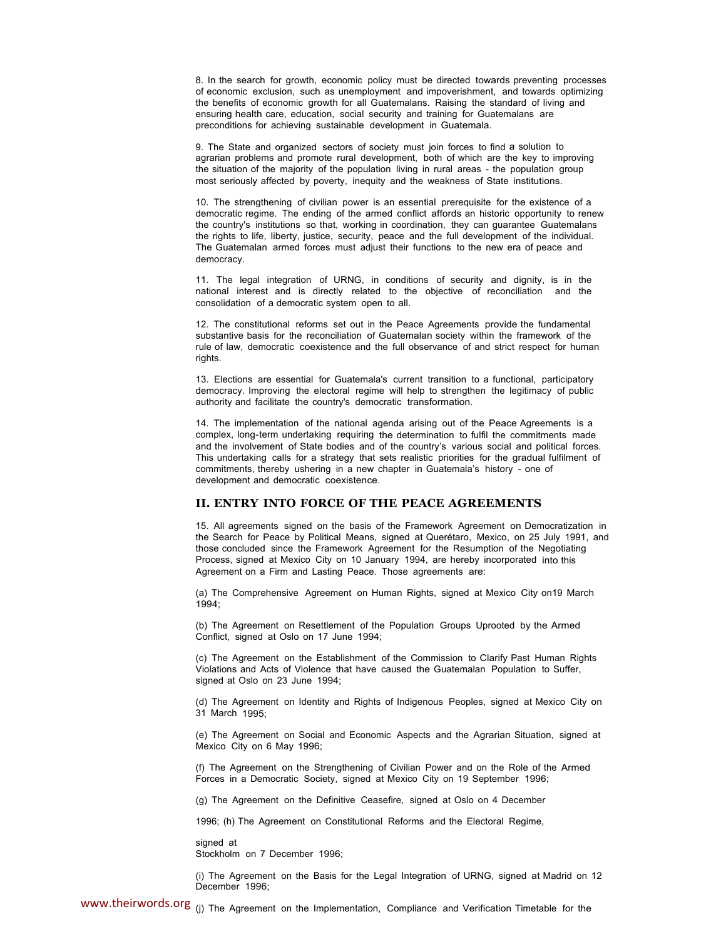8. In the search for growth, economic policy must be directed towards preventing processes of economic exclusion, such as unemployment and impoverishment, and towards optimizing the benefits of economic growth for all Guatemalans. Raising the standard of living and ensuring health care, education, social security and training for Guatemalans are preconditions for achieving sustainable development in Guatemala.

9. The State and organized sectors of society must join forces to find a solution to agrarian problems and promote rural development, both of which are the key to improving the situation of the majority of the population living in rural areas - the population group most seriously affected by poverty, inequity and the weakness of State institutions.

10. The strengthening of civilian power is an essential prerequisite for the existence of a democratic regime. The ending of the armed conflict affords an historic opportunity to renew the country's institutions so that, working in coordination, they can guarantee Guatemalans the rights to life, liberty, justice, security, peace and the full development of the individual. The Guatemalan armed forces must adjust their functions to the new era of peace and democracy.

11. The legal integration of URNG, in conditions of security and dignity, is in the national interest and is directly related to the objective of reconciliation and the consolidation of a democratic system open to all.

12. The constitutional reforms set out in the Peace Agreements provide the fundamental substantive basis for the reconciliation of Guatemalan society within the framework of the rule of law, democratic coexistence and the full observance of and strict respect for human rights.

13. Elections are essential for Guatemala's current transition to a functional, participatory democracy. Improving the electoral regime will help to strengthen the legitimacy of public authority and facilitate the country's democratic transformation.

14. The implementation of the national agenda arising out of the Peace Agreements is a complex, long-term undertaking requiring the determination to fulfil the commitments made and the involvement of State bodies and of the country's various social and political forces. This undertaking calls for a strategy that sets realistic priorities for the gradual fulfilment of commitments, thereby ushering in a new chapter in Guatemala's history - one of development and democratic coexistence.

# **II. ENTRY INTO FORCE OF THE PEACE AGREEMENTS**

15. All agreements signed on the basis of the Framework Agreement on Democratization in the Search for Peace by Political Means, signed at Querétaro, Mexico, on 25 July 1991, and those concluded since the Framework Agreement for the Resumption of the Negotiating Process, signed at Mexico City on 10 January 1994, are hereby incorporated into this Agreement on a Firm and Lasting Peace. Those agreements are:

(a) The Comprehensive Agreement on Human Rights, signed at Mexico City on19 March 1994;

(b) The Agreement on Resettlement of the Population Groups Uprooted by the Armed Conflict, signed at Oslo on 17 June 1994;

(c) The Agreement on the Establishment of the Commission to Clarify Past Human Rights Violations and Acts of Violence that have caused the Guatemalan Population to Suffer, signed at Oslo on 23 June 1994;

(d) The Agreement on Identity and Rights of Indigenous Peoples, signed at Mexico City on 31 March 1995;

(e) The Agreement on Social and Economic Aspects and the Agrarian Situation, signed at Mexico City on 6 May 1996;

(f) The Agreement on the Strengthening of Civilian Power and on the Role of the Armed Forces in a Democratic Society, signed at Mexico City on 19 September 1996;

(g) The Agreement on the Definitive Ceasefire, signed at Oslo on 4 December

1996; (h) The Agreement on Constitutional Reforms and the Electoral Regime,

signed at Stockholm on 7 December 1996;

(i) The Agreement on the Basis for the Legal Integration of URNG, signed at Madrid on 12 December 1996;